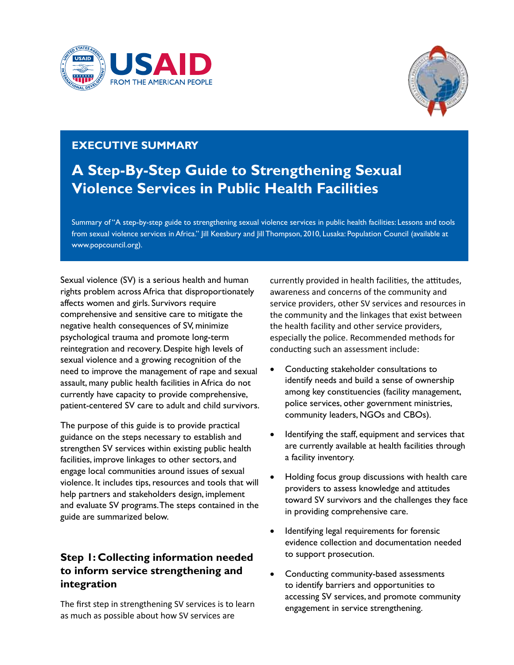



## **Executive Summary**

## **A Step-By-Step Guide to Strengthening Sexual Violence Services in Public Health Facilities**

Summary of "A step-by-step guide to strengthening sexual violence services in public health facilities: Lessons and tools from sexual violence services in Africa." Jill Keesbury and Jill Thompson, 2010, Lusaka: Population Council (available at www.popcouncil.org).

Sexual violence (SV) is a serious health and human rights problem across Africa that disproportionately affects women and girls. Survivors require comprehensive and sensitive care to mitigate the negative health consequences of SV, minimize psychological trauma and promote long-term reintegration and recovery. Despite high levels of sexual violence and a growing recognition of the need to improve the management of rape and sexual assault, many public health facilities in Africa do not currently have capacity to provide comprehensive, patient-centered SV care to adult and child survivors.

The purpose of this guide is to provide practical guidance on the steps necessary to establish and strengthen SV services within existing public health facilities, improve linkages to other sectors, and engage local communities around issues of sexual violence. It includes tips, resources and tools that will help partners and stakeholders design, implement and evaluate SV programs. The steps contained in the guide are summarized below.

## **Step 1: Collecting information needed to inform service strengthening and integration**

The first step in strengthening SV services is to learn as much as possible about how SV services are

currently provided in health facilities, the attitudes, awareness and concerns of the community and service providers, other SV services and resources in the community and the linkages that exist between the health facility and other service providers, especially the police. Recommended methods for conducting such an assessment include:

- • Conducting stakeholder consultations to identify needs and build a sense of ownership among key constituencies (facility management, police services, other government ministries, community leaders, NGOs and CBOs).
- Identifying the staff, equipment and services that are currently available at health facilities through a facility inventory.
- Holding focus group discussions with health care providers to assess knowledge and attitudes toward SV survivors and the challenges they face in providing comprehensive care.
- • Identifying legal requirements for forensic evidence collection and documentation needed to support prosecution.
- Conducting community-based assessments to identify barriers and opportunities to accessing SV services, and promote community engagement in service strengthening.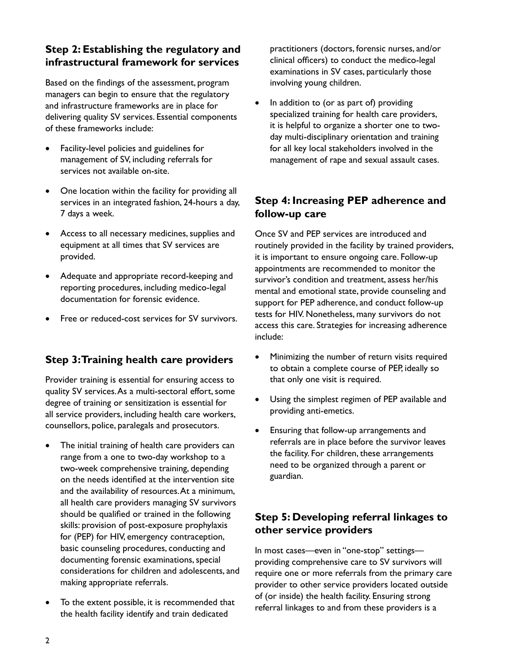### **Step 2: Establishing the regulatory and infrastructural framework for services**

Based on the findings of the assessment, program managers can begin to ensure that the regulatory and infrastructure frameworks are in place for delivering quality SV services. Essential components of these frameworks include:

- Facility-level policies and guidelines for management of SV, including referrals for services not available on-site.
- One location within the facility for providing all services in an integrated fashion, 24-hours a day, 7 days a week.
- Access to all necessary medicines, supplies and equipment at all times that SV services are provided.
- Adequate and appropriate record-keeping and reporting procedures, including medico-legal documentation for forensic evidence.
- Free or reduced-cost services for SV survivors.

#### **Step 3: Training health care providers**

Provider training is essential for ensuring access to quality SV services. As a multi-sectoral effort, some degree of training or sensitization is essential for all service providers, including health care workers, counsellors, police, paralegals and prosecutors.

- The initial training of health care providers can range from a one to two-day workshop to a two-week comprehensive training, depending on the needs identified at the intervention site and the availability of resources. At a minimum, all health care providers managing SV survivors should be qualified or trained in the following skills: provision of post-exposure prophylaxis for (PEP) for HIV, emergency contraception, basic counseling procedures, conducting and documenting forensic examinations, special considerations for children and adolescents, and making appropriate referrals.
- To the extent possible, it is recommended that the health facility identify and train dedicated

practitioners (doctors, forensic nurses, and/or clinical officers) to conduct the medico-legal examinations in SV cases, particularly those involving young children.

• In addition to (or as part of) providing specialized training for health care providers, it is helpful to organize a shorter one to twoday multi-disciplinary orientation and training for all key local stakeholders involved in the management of rape and sexual assault cases.

## **Step 4: Increasing PEP adherence and follow-up care**

Once SV and PEP services are introduced and routinely provided in the facility by trained providers, it is important to ensure ongoing care. Follow-up appointments are recommended to monitor the survivor's condition and treatment, assess her/his mental and emotional state, provide counseling and support for PEP adherence, and conduct follow-up tests for HIV. Nonetheless, many survivors do not access this care. Strategies for increasing adherence include:

- Minimizing the number of return visits required to obtain a complete course of PEP, ideally so that only one visit is required.
- Using the simplest regimen of PEP available and providing anti-emetics.
- • Ensuring that follow-up arrangements and referrals are in place before the survivor leaves the facility. For children, these arrangements need to be organized through a parent or guardian.

#### **Step 5: Developing referral linkages to other service providers**

In most cases—even in "one-stop" settings providing comprehensive care to SV survivors will require one or more referrals from the primary care provider to other service providers located outside of (or inside) the health facility. Ensuring strong referral linkages to and from these providers is a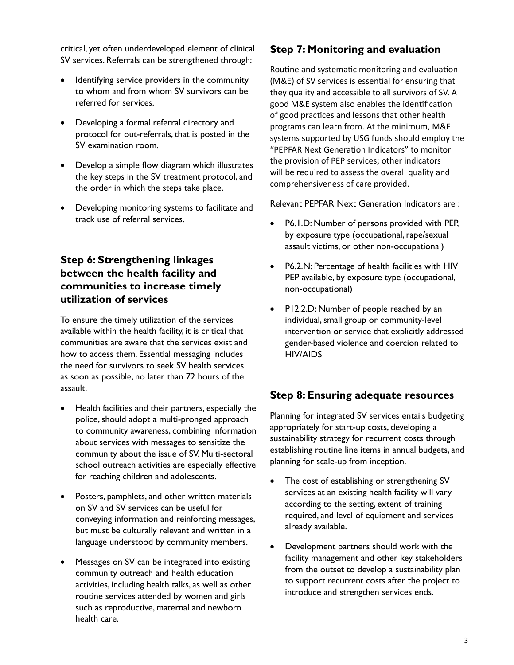critical, yet often underdeveloped element of clinical SV services. Referrals can be strengthened through:

- Identifying service providers in the community to whom and from whom SV survivors can be referred for services.
- Developing a formal referral directory and protocol for out-referrals, that is posted in the SV examination room.
- Develop a simple flow diagram which illustrates the key steps in the SV treatment protocol, and the order in which the steps take place.
- • Developing monitoring systems to facilitate and track use of referral services.

## **Step 6: Strengthening linkages between the health facility and communities to increase timely utilization of services**

To ensure the timely utilization of the services available within the health facility, it is critical that communities are aware that the services exist and how to access them. Essential messaging includes the need for survivors to seek SV health services as soon as possible, no later than 72 hours of the assault.

- Health facilities and their partners, especially the police, should adopt a multi-pronged approach to community awareness, combining information about services with messages to sensitize the community about the issue of SV. Multi-sectoral school outreach activities are especially effective for reaching children and adolescents.
- Posters, pamphlets, and other written materials on SV and SV services can be useful for conveying information and reinforcing messages, but must be culturally relevant and written in a language understood by community members.
- Messages on SV can be integrated into existing community outreach and health education activities, including health talks, as well as other routine services attended by women and girls such as reproductive, maternal and newborn health care.

## **Step 7: Monitoring and evaluation**

Routine and systematic monitoring and evaluation (M&E) of SV services is essential for ensuring that they quality and accessible to all survivors of SV. A good M&E system also enables the identification of good practices and lessons that other health programs can learn from. At the minimum, M&E systems supported by USG funds should employ the "PEPFAR Next Generation Indicators" to monitor the provision of PEP services; other indicators will be required to assess the overall quality and comprehensiveness of care provided.

Relevant PEPFAR Next Generation Indicators are :

- P6.1.D: Number of persons provided with PEP, by exposure type (occupational, rape/sexual assault victims, or other non-occupational)
- • P6.2.N: Percentage of health facilities with HIV PEP available, by exposure type (occupational, non-occupational)
- PI2.2.D: Number of people reached by an individual, small group or community-level intervention or service that explicitly addressed gender-based violence and coercion related to HIV/AIDS

## **Step 8: Ensuring adequate resources**

Planning for integrated SV services entails budgeting appropriately for start-up costs, developing a sustainability strategy for recurrent costs through establishing routine line items in annual budgets, and planning for scale-up from inception.

- The cost of establishing or strengthening SV services at an existing health facility will vary according to the setting, extent of training required, and level of equipment and services already available.
- • Development partners should work with the facility management and other key stakeholders from the outset to develop a sustainability plan to support recurrent costs after the project to introduce and strengthen services ends.